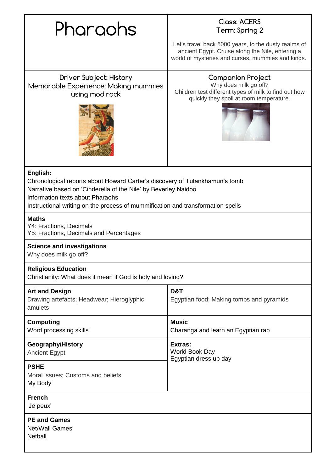|          | <b>Closs: ACERS</b> |
|----------|---------------------|
| Pharaohs | Term: Spring :      |

# **Term: Spring 2**

Let's travel back 5000 years, to the dusty realms of ancient Egypt. Cruise along the Nile, entering a world of mysteries and curses, mummies and kings.

**Driver Subject: History** Memorable Experience: Making mummies using mod rock



**Companion Project** Why does milk go off? Children test different types of milk to find out how quickly they spoil at room temperature.



### **English:**

Chronological reports about Howard Carter's discovery of Tutankhamun's tomb

Narrative based on 'Cinderella of the Nile' by Beverley Naidoo

Information texts about Pharaohs

Instructional writing on the process of mummification and transformation spells

#### **Maths**

Y4: Fractions, Decimals Y5: Fractions, Decimals and Percentages

#### **Science and investigations**

Why does milk go off?

#### **Religious Education**

Christianity: What does it mean if God is holy and loving?

| <b>Art and Design</b><br>Drawing artefacts; Headwear; Hieroglyphic<br>amulets | D&T<br>Egyptian food; Making tombs and pyramids    |
|-------------------------------------------------------------------------------|----------------------------------------------------|
| <b>Computing</b><br>Word processing skills                                    | <b>Music</b><br>Charanga and learn an Egyptian rap |
| Geography/History<br><b>Ancient Egypt</b>                                     | Extras:<br>World Book Day<br>Egyptian dress up day |
| <b>PSHE</b><br>Moral issues; Customs and beliefs<br>My Body                   |                                                    |
| <b>French</b><br>'Je peux'                                                    |                                                    |
| <b>PE and Games</b><br>Net/Wall Games                                         |                                                    |

**Netball**